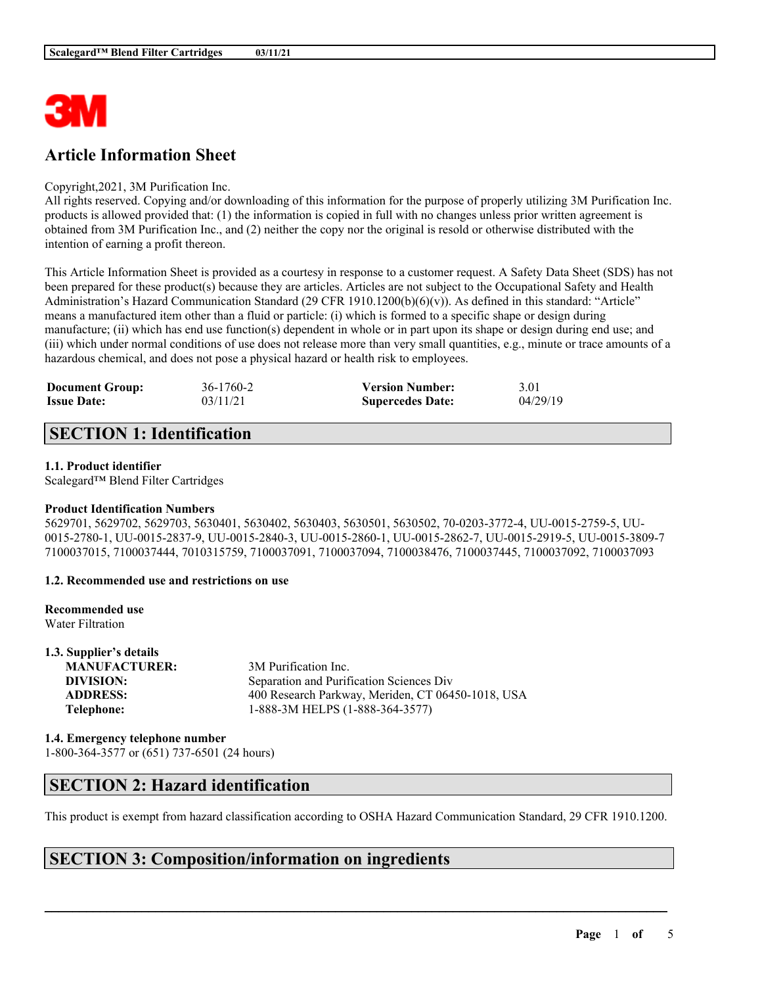

# **Article Information Sheet**

### Copyright,2021, 3M Purification Inc.

All rights reserved. Copying and/or downloading of this information for the purpose of properly utilizing 3M Purification Inc. products is allowed provided that: (1) the information is copied in full with no changes unless prior written agreement is obtained from 3M Purification Inc., and (2) neither the copy nor the original is resold or otherwise distributed with the intention of earning a profit thereon.

This Article Information Sheet is provided as a courtesy in response to a customer request. A Safety Data Sheet (SDS) has not been prepared for these product(s) because they are articles. Articles are not subject to the Occupational Safety and Health Administration's Hazard Communication Standard (29 CFR 1910.1200(b)(6)(v)). As defined in this standard: "Article" means a manufactured item other than a fluid or particle: (i) which is formed to a specific shape or design during manufacture; (ii) which has end use function(s) dependent in whole or in part upon its shape or design during end use; and (iii) which under normal conditions of use does not release more than very small quantities, e.g., minute or trace amounts of a hazardous chemical, and does not pose a physical hazard or health risk to employees.

| <b>Document Group:</b> | 36-1760-2 | <b>Version Number:</b>  | 3.01     |
|------------------------|-----------|-------------------------|----------|
| <b>Issue Date:</b>     | 03/11/21  | <b>Supercedes Date:</b> | 04/29/19 |

# **SECTION 1: Identification**

### **1.1. Product identifier**

Scalegard™ Blend Filter Cartridges

### **Product Identification Numbers**

5629701, 5629702, 5629703, 5630401, 5630402, 5630403, 5630501, 5630502, 70-0203-3772-4, UU-0015-2759-5, UU-0015-2780-1, UU-0015-2837-9, UU-0015-2840-3, UU-0015-2860-1, UU-0015-2862-7, UU-0015-2919-5, UU-0015-3809-7 7100037015, 7100037444, 7010315759, 7100037091, 7100037094, 7100038476, 7100037445, 7100037092, 7100037093

### **1.2. Recommended use and restrictions on use**

| Recommended use  |  |
|------------------|--|
| Water Filtration |  |

| 1.3. Supplier's details |                                                   |
|-------------------------|---------------------------------------------------|
| <b>MANUFACTURER:</b>    | 3M Purification Inc.                              |
| DIVISION:               | Separation and Purification Sciences Div          |
| <b>ADDRESS:</b>         | 400 Research Parkway, Meriden, CT 06450-1018, USA |
| Telephone:              | 1-888-3M HELPS (1-888-364-3577)                   |
|                         |                                                   |

## **1.4. Emergency telephone number**

1-800-364-3577 or (651) 737-6501 (24 hours)

## **SECTION 2: Hazard identification**

This product is exempt from hazard classification according to OSHA Hazard Communication Standard, 29 CFR 1910.1200.

 $\mathcal{L}_\mathcal{L} = \mathcal{L}_\mathcal{L} = \mathcal{L}_\mathcal{L} = \mathcal{L}_\mathcal{L} = \mathcal{L}_\mathcal{L} = \mathcal{L}_\mathcal{L} = \mathcal{L}_\mathcal{L} = \mathcal{L}_\mathcal{L} = \mathcal{L}_\mathcal{L} = \mathcal{L}_\mathcal{L} = \mathcal{L}_\mathcal{L} = \mathcal{L}_\mathcal{L} = \mathcal{L}_\mathcal{L} = \mathcal{L}_\mathcal{L} = \mathcal{L}_\mathcal{L} = \mathcal{L}_\mathcal{L} = \mathcal{L}_\mathcal{L}$ 

## **SECTION 3: Composition/information on ingredients**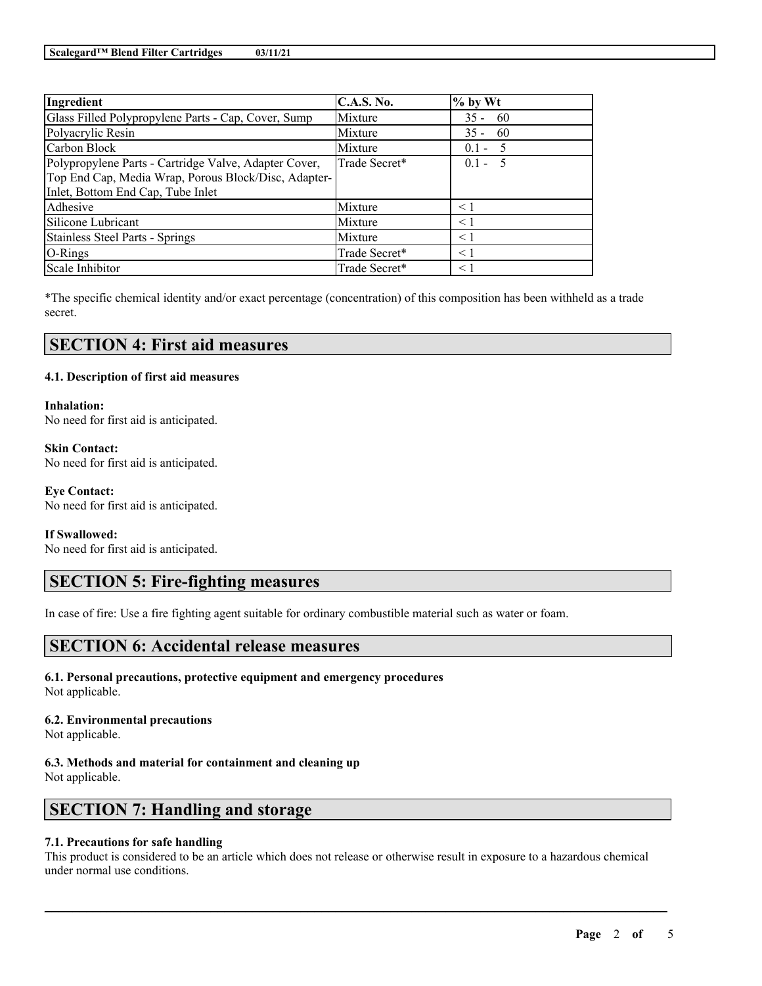| Ingredient                                            | <b>C.A.S. No.</b> | $%$ by Wt |
|-------------------------------------------------------|-------------------|-----------|
| Glass Filled Polypropylene Parts - Cap, Cover, Sump   | Mixture           | $35 - 60$ |
| Polyacrylic Resin                                     | Mixture           | $35 - 60$ |
| Carbon Block                                          | Mixture           | $0.1 - 5$ |
| Polypropylene Parts - Cartridge Valve, Adapter Cover, | Trade Secret*     | $0.1 - 5$ |
| Top End Cap, Media Wrap, Porous Block/Disc, Adapter-  |                   |           |
| Inlet, Bottom End Cap, Tube Inlet                     |                   |           |
| Adhesive                                              | Mixture           | $\leq 1$  |
| Silicone Lubricant                                    | Mixture           | < 1       |
| <b>Stainless Steel Parts - Springs</b>                | Mixture           | $\leq$ 1  |
| O-Rings                                               | Trade Secret*     | $\leq$ 1  |
| Scale Inhibitor                                       | Trade Secret*     | $\leq$ 1  |

\*The specific chemical identity and/or exact percentage (concentration) of this composition has been withheld as a trade secret.

## **SECTION 4: First aid measures**

### **4.1. Description of first aid measures**

### **Inhalation:**

No need for first aid is anticipated.

**Skin Contact:** No need for first aid is anticipated.

### **Eye Contact:** No need for first aid is anticipated.

### **If Swallowed:**

No need for first aid is anticipated.

# **SECTION 5: Fire-fighting measures**

In case of fire: Use a fire fighting agent suitable for ordinary combustible material such as water or foam.

## **SECTION 6: Accidental release measures**

**6.1. Personal precautions, protective equipment and emergency procedures** Not applicable.

#### **6.2. Environmental precautions** Not applicable.

**6.3. Methods and material for containment and cleaning up** Not applicable.

# **SECTION 7: Handling and storage**

### **7.1. Precautions for safe handling**

This product is considered to be an article which does not release or otherwise result in exposure to a hazardous chemical under normal use conditions.

 $\mathcal{L}_\mathcal{L} = \mathcal{L}_\mathcal{L} = \mathcal{L}_\mathcal{L} = \mathcal{L}_\mathcal{L} = \mathcal{L}_\mathcal{L} = \mathcal{L}_\mathcal{L} = \mathcal{L}_\mathcal{L} = \mathcal{L}_\mathcal{L} = \mathcal{L}_\mathcal{L} = \mathcal{L}_\mathcal{L} = \mathcal{L}_\mathcal{L} = \mathcal{L}_\mathcal{L} = \mathcal{L}_\mathcal{L} = \mathcal{L}_\mathcal{L} = \mathcal{L}_\mathcal{L} = \mathcal{L}_\mathcal{L} = \mathcal{L}_\mathcal{L}$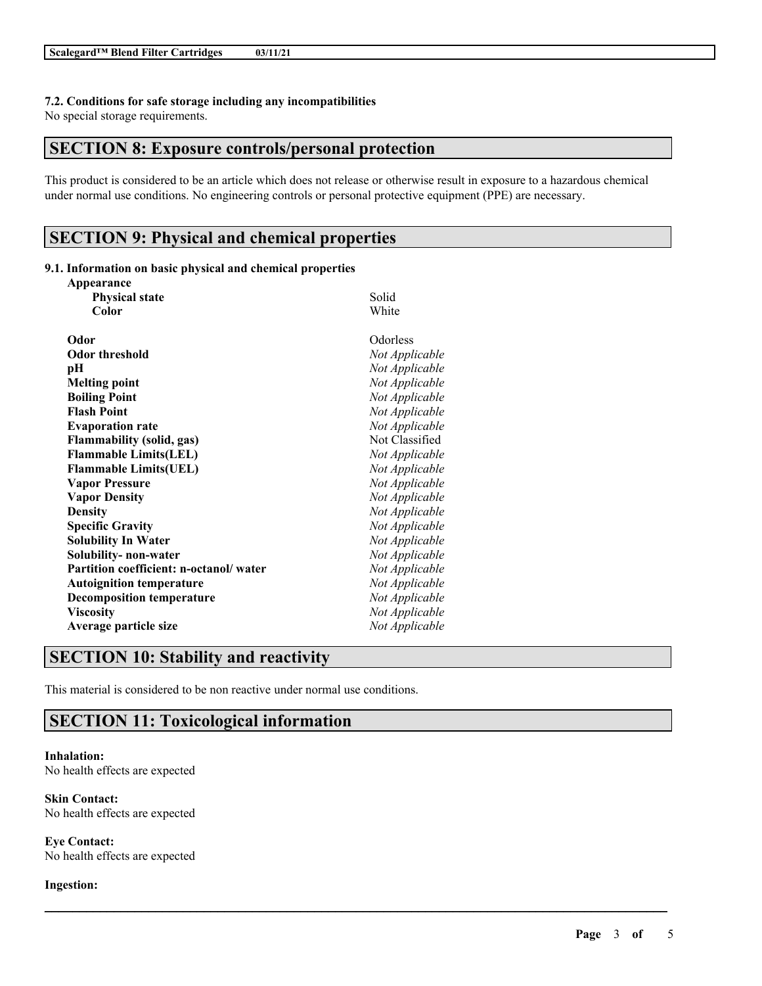### **7.2. Conditions for safe storage including any incompatibilities**

No special storage requirements.

## **SECTION 8: Exposure controls/personal protection**

This product is considered to be an article which does not release or otherwise result in exposure to a hazardous chemical under normal use conditions. No engineering controls or personal protective equipment (PPE) are necessary.

 $\mathcal{L}_\mathcal{L} = \mathcal{L}_\mathcal{L} = \mathcal{L}_\mathcal{L} = \mathcal{L}_\mathcal{L} = \mathcal{L}_\mathcal{L} = \mathcal{L}_\mathcal{L} = \mathcal{L}_\mathcal{L} = \mathcal{L}_\mathcal{L} = \mathcal{L}_\mathcal{L} = \mathcal{L}_\mathcal{L} = \mathcal{L}_\mathcal{L} = \mathcal{L}_\mathcal{L} = \mathcal{L}_\mathcal{L} = \mathcal{L}_\mathcal{L} = \mathcal{L}_\mathcal{L} = \mathcal{L}_\mathcal{L} = \mathcal{L}_\mathcal{L}$ 

# **SECTION 9: Physical and chemical properties**

### **9.1. Information on basic physical and chemical properties**

| Appearance                             |                |
|----------------------------------------|----------------|
| <b>Physical state</b>                  | Solid          |
| Color                                  | White          |
| Odor                                   | Odorless       |
| <b>Odor threshold</b>                  | Not Applicable |
| pН                                     | Not Applicable |
| <b>Melting point</b>                   | Not Applicable |
| <b>Boiling Point</b>                   | Not Applicable |
| <b>Flash Point</b>                     | Not Applicable |
| <b>Evaporation rate</b>                | Not Applicable |
| <b>Flammability (solid, gas)</b>       | Not Classified |
| <b>Flammable Limits(LEL)</b>           | Not Applicable |
| <b>Flammable Limits(UEL)</b>           | Not Applicable |
| <b>Vapor Pressure</b>                  | Not Applicable |
| <b>Vapor Density</b>                   | Not Applicable |
| <b>Density</b>                         | Not Applicable |
| <b>Specific Gravity</b>                | Not Applicable |
| <b>Solubility In Water</b>             | Not Applicable |
| Solubility- non-water                  | Not Applicable |
| Partition coefficient: n-octanol/water | Not Applicable |
| <b>Autoignition temperature</b>        | Not Applicable |
| <b>Decomposition temperature</b>       | Not Applicable |
| <b>Viscosity</b>                       | Not Applicable |
| Average particle size                  | Not Applicable |
|                                        |                |

## **SECTION 10: Stability and reactivity**

This material is considered to be non reactive under normal use conditions.

# **SECTION 11: Toxicological information**

**Inhalation:** No health effects are expected

**Skin Contact:** No health effects are expected

**Eye Contact:** No health effects are expected

**Ingestion:**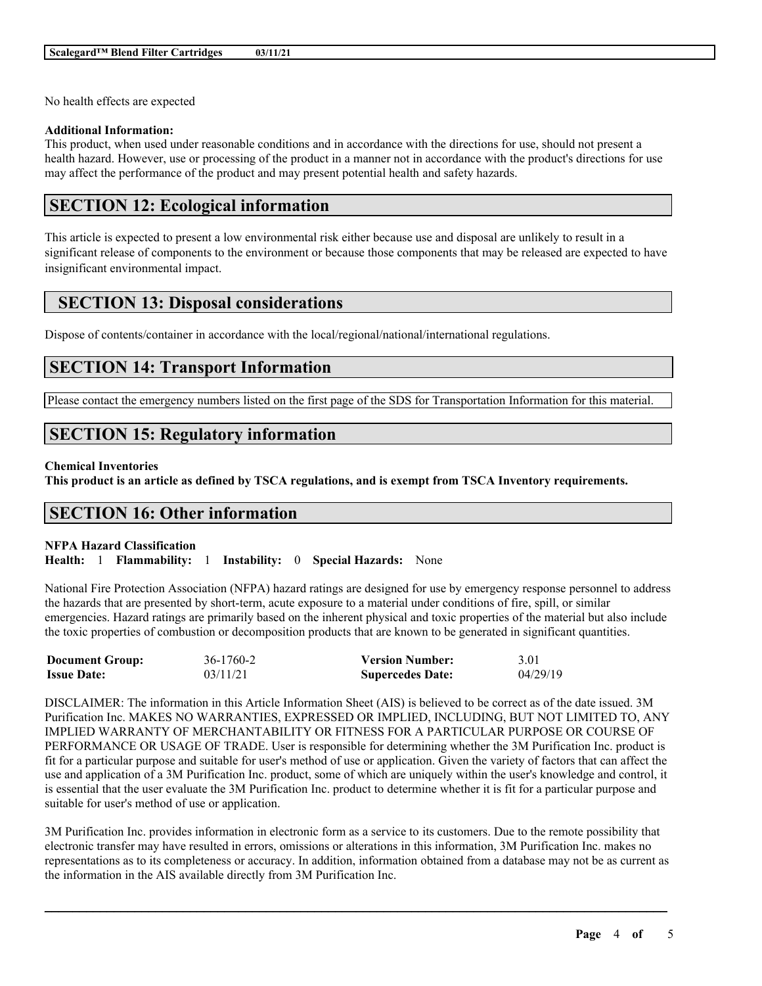No health effects are expected

### **Additional Information:**

This product, when used under reasonable conditions and in accordance with the directions for use, should not present a health hazard. However, use or processing of the product in a manner not in accordance with the product's directions for use may affect the performance of the product and may present potential health and safety hazards.

## **SECTION 12: Ecological information**

This article is expected to present a low environmental risk either because use and disposal are unlikely to result in a significant release of components to the environment or because those components that may be released are expected to have insignificant environmental impact.

# **SECTION 13: Disposal considerations**

Dispose of contents/container in accordance with the local/regional/national/international regulations.

# **SECTION 14: Transport Information**

Please contact the emergency numbers listed on the first page of the SDS for Transportation Information for this material.

# **SECTION 15: Regulatory information**

### **Chemical Inventories**

This product is an article as defined by TSCA regulations, and is exempt from TSCA Inventory requirements.

## **SECTION 16: Other information**

### **NFPA Hazard Classification**

**Health:** 1 **Flammability:** 1 **Instability:** 0 **Special Hazards:** None

National Fire Protection Association (NFPA) hazard ratings are designed for use by emergency response personnel to address the hazards that are presented by short-term, acute exposure to a material under conditions of fire, spill, or similar emergencies. Hazard ratings are primarily based on the inherent physical and toxic properties of the material but also include the toxic properties of combustion or decomposition products that are known to be generated in significant quantities.

| <b>Document Group:</b> | 36-1760-2 | <b>Version Number:</b>  | 3.01     |
|------------------------|-----------|-------------------------|----------|
| <b>Issue Date:</b>     | 03/11/21  | <b>Supercedes Date:</b> | 04/29/19 |

DISCLAIMER: The information in this Article Information Sheet (AIS) is believed to be correct as of the date issued. 3M Purification Inc. MAKES NO WARRANTIES, EXPRESSED OR IMPLIED, INCLUDING, BUT NOT LIMITED TO, ANY IMPLIED WARRANTY OF MERCHANTABILITY OR FITNESS FOR A PARTICULAR PURPOSE OR COURSE OF PERFORMANCE OR USAGE OF TRADE. User is responsible for determining whether the 3M Purification Inc. product is fit for a particular purpose and suitable for user's method of use or application. Given the variety of factors that can affect the use and application of a 3M Purification Inc. product, some of which are uniquely within the user's knowledge and control, it is essential that the user evaluate the 3M Purification Inc. product to determine whether it is fit for a particular purpose and suitable for user's method of use or application.

3M Purification Inc. provides information in electronic form as a service to its customers. Due to the remote possibility that electronic transfer may have resulted in errors, omissions or alterations in this information, 3M Purification Inc. makes no representations as to its completeness or accuracy. In addition, information obtained from a database may not be as current as the information in the AIS available directly from 3M Purification Inc.

 $\mathcal{L}_\mathcal{L} = \mathcal{L}_\mathcal{L} = \mathcal{L}_\mathcal{L} = \mathcal{L}_\mathcal{L} = \mathcal{L}_\mathcal{L} = \mathcal{L}_\mathcal{L} = \mathcal{L}_\mathcal{L} = \mathcal{L}_\mathcal{L} = \mathcal{L}_\mathcal{L} = \mathcal{L}_\mathcal{L} = \mathcal{L}_\mathcal{L} = \mathcal{L}_\mathcal{L} = \mathcal{L}_\mathcal{L} = \mathcal{L}_\mathcal{L} = \mathcal{L}_\mathcal{L} = \mathcal{L}_\mathcal{L} = \mathcal{L}_\mathcal{L}$